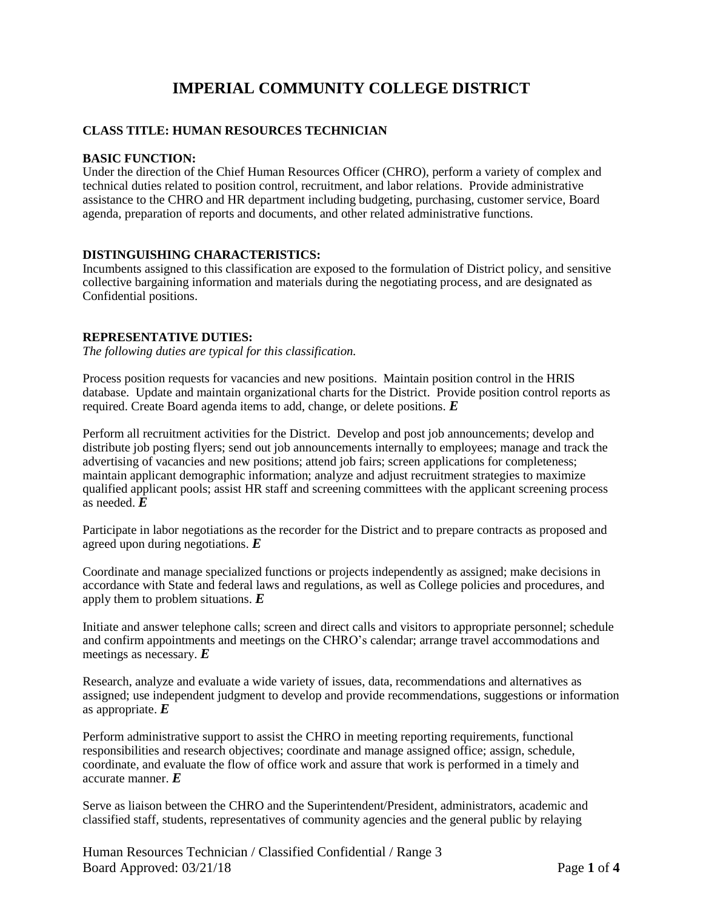# **IMPERIAL COMMUNITY COLLEGE DISTRICT**

# **CLASS TITLE: HUMAN RESOURCES TECHNICIAN**

## **BASIC FUNCTION:**

Under the direction of the Chief Human Resources Officer (CHRO), perform a variety of complex and technical duties related to position control, recruitment, and labor relations. Provide administrative assistance to the CHRO and HR department including budgeting, purchasing, customer service, Board agenda, preparation of reports and documents, and other related administrative functions.

# **DISTINGUISHING CHARACTERISTICS:**

Incumbents assigned to this classification are exposed to the formulation of District policy, and sensitive collective bargaining information and materials during the negotiating process, and are designated as Confidential positions.

# **REPRESENTATIVE DUTIES:**

*The following duties are typical for this classification.*

Process position requests for vacancies and new positions. Maintain position control in the HRIS database. Update and maintain organizational charts for the District. Provide position control reports as required. Create Board agenda items to add, change, or delete positions. *E*

Perform all recruitment activities for the District. Develop and post job announcements; develop and distribute job posting flyers; send out job announcements internally to employees; manage and track the advertising of vacancies and new positions; attend job fairs; screen applications for completeness; maintain applicant demographic information; analyze and adjust recruitment strategies to maximize qualified applicant pools; assist HR staff and screening committees with the applicant screening process as needed. *E*

Participate in labor negotiations as the recorder for the District and to prepare contracts as proposed and agreed upon during negotiations. *E*

Coordinate and manage specialized functions or projects independently as assigned; make decisions in accordance with State and federal laws and regulations, as well as College policies and procedures, and apply them to problem situations. *E*

Initiate and answer telephone calls; screen and direct calls and visitors to appropriate personnel; schedule and confirm appointments and meetings on the CHRO's calendar; arrange travel accommodations and meetings as necessary. *E*

Research, analyze and evaluate a wide variety of issues, data, recommendations and alternatives as assigned; use independent judgment to develop and provide recommendations, suggestions or information as appropriate. *E*

Perform administrative support to assist the CHRO in meeting reporting requirements, functional responsibilities and research objectives; coordinate and manage assigned office; assign, schedule, coordinate, and evaluate the flow of office work and assure that work is performed in a timely and accurate manner. *E*

Serve as liaison between the CHRO and the Superintendent/President, administrators, academic and classified staff, students, representatives of community agencies and the general public by relaying

Human Resources Technician / Classified Confidential / Range 3 Board Approved: 03/21/18 Page **1** of **4**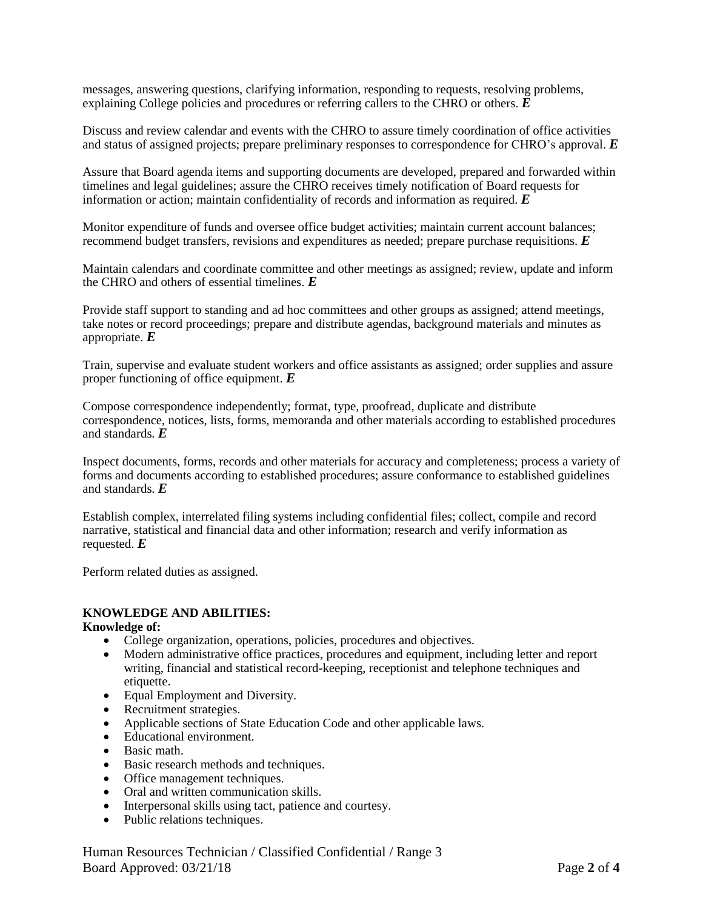messages, answering questions, clarifying information, responding to requests, resolving problems, explaining College policies and procedures or referring callers to the CHRO or others. *E*

Discuss and review calendar and events with the CHRO to assure timely coordination of office activities and status of assigned projects; prepare preliminary responses to correspondence for CHRO's approval. *E*

Assure that Board agenda items and supporting documents are developed, prepared and forwarded within timelines and legal guidelines; assure the CHRO receives timely notification of Board requests for information or action; maintain confidentiality of records and information as required. *E*

Monitor expenditure of funds and oversee office budget activities; maintain current account balances; recommend budget transfers, revisions and expenditures as needed; prepare purchase requisitions. *E*

Maintain calendars and coordinate committee and other meetings as assigned; review, update and inform the CHRO and others of essential timelines. *E*

Provide staff support to standing and ad hoc committees and other groups as assigned; attend meetings, take notes or record proceedings; prepare and distribute agendas, background materials and minutes as appropriate. *E*

Train, supervise and evaluate student workers and office assistants as assigned; order supplies and assure proper functioning of office equipment. *E*

Compose correspondence independently; format, type, proofread, duplicate and distribute correspondence, notices, lists, forms, memoranda and other materials according to established procedures and standards. *E*

Inspect documents, forms, records and other materials for accuracy and completeness; process a variety of forms and documents according to established procedures; assure conformance to established guidelines and standards. *E*

Establish complex, interrelated filing systems including confidential files; collect, compile and record narrative, statistical and financial data and other information; research and verify information as requested. *E*

Perform related duties as assigned.

# **KNOWLEDGE AND ABILITIES:**

#### **Knowledge of:**

- College organization, operations, policies, procedures and objectives.
- Modern administrative office practices, procedures and equipment, including letter and report writing, financial and statistical record-keeping, receptionist and telephone techniques and etiquette.
- Equal Employment and Diversity.
- Recruitment strategies.
- Applicable sections of State Education Code and other applicable laws.
- Educational environment.
- Basic math.
- Basic research methods and techniques.
- Office management techniques.
- Oral and written communication skills.
- Interpersonal skills using tact, patience and courtesy.
- Public relations techniques.

Human Resources Technician / Classified Confidential / Range 3 Board Approved: 03/21/18 Page **2** of **4**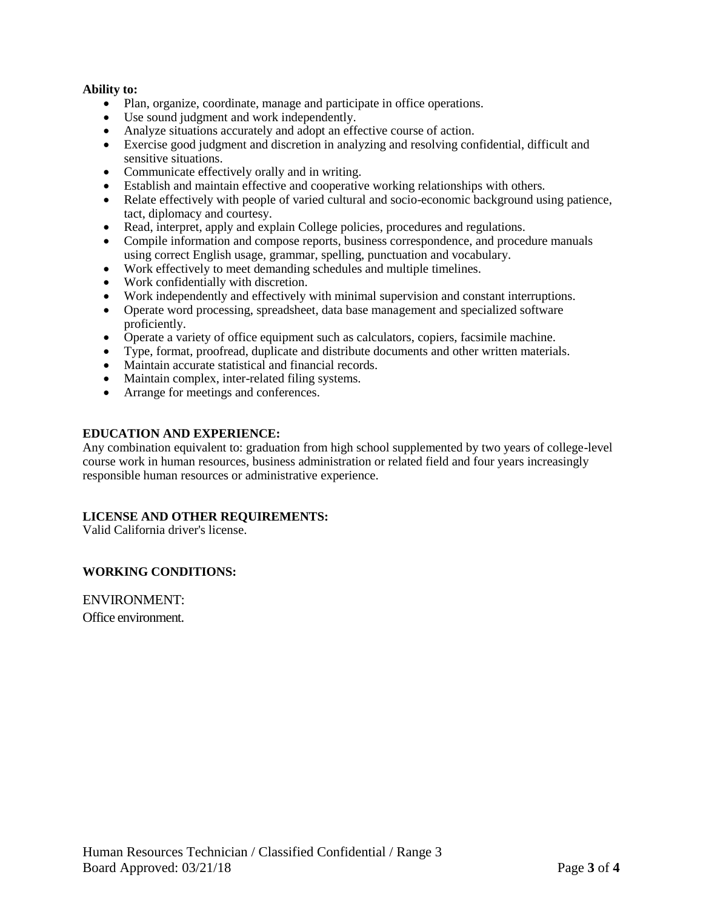## **Ability to:**

- Plan, organize, coordinate, manage and participate in office operations.
- Use sound judgment and work independently.
- Analyze situations accurately and adopt an effective course of action.
- Exercise good judgment and discretion in analyzing and resolving confidential, difficult and sensitive situations.
- Communicate effectively orally and in writing.
- Establish and maintain effective and cooperative working relationships with others.
- Relate effectively with people of varied cultural and socio-economic background using patience, tact, diplomacy and courtesy.
- Read, interpret, apply and explain College policies, procedures and regulations.
- Compile information and compose reports, business correspondence, and procedure manuals using correct English usage, grammar, spelling, punctuation and vocabulary.
- Work effectively to meet demanding schedules and multiple timelines.
- Work confidentially with discretion.
- Work independently and effectively with minimal supervision and constant interruptions.
- Operate word processing, spreadsheet, data base management and specialized software proficiently.
- Operate a variety of office equipment such as calculators, copiers, facsimile machine.
- Type, format, proofread, duplicate and distribute documents and other written materials.
- Maintain accurate statistical and financial records.
- Maintain complex, inter-related filing systems.
- Arrange for meetings and conferences.

# **EDUCATION AND EXPERIENCE:**

Any combination equivalent to: graduation from high school supplemented by two years of college-level course work in human resources, business administration or related field and four years increasingly responsible human resources or administrative experience.

# **LICENSE AND OTHER REQUIREMENTS:**

Valid California driver's license.

# **WORKING CONDITIONS:**

ENVIRONMENT: Office environment.